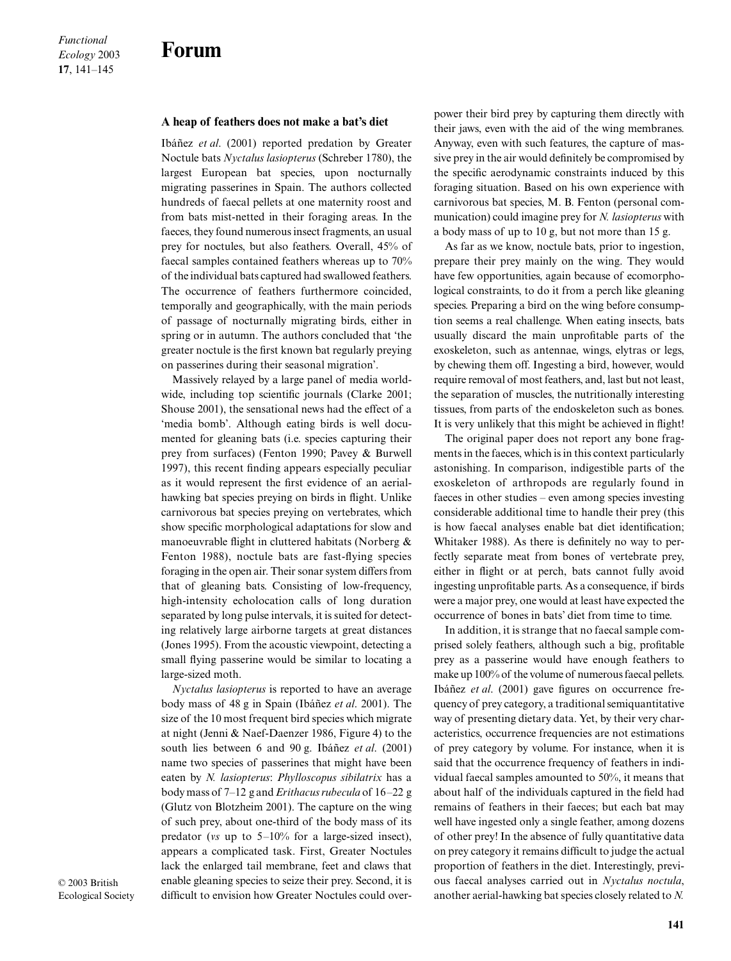# **Forum**

*Functional Ecology* 2003 **17**, 141–145

### **A heap of feathers does not make a bat's diet**

Ibáñez *et al*. (2001) reported predation by Greater Noctule bats *Nyctalus lasiopterus* (Schreber 1780), the largest European bat species, upon nocturnally migrating passerines in Spain. The authors collected hundreds of faecal pellets at one maternity roost and from bats mist-netted in their foraging areas. In the faeces, they found numerous insect fragments, an usual prey for noctules, but also feathers. Overall, 45% of faecal samples contained feathers whereas up to 70% of the individual bats captured had swallowed feathers. The occurrence of feathers furthermore coincided, temporally and geographically, with the main periods of passage of nocturnally migrating birds, either in spring or in autumn. The authors concluded that 'the greater noctule is the first known bat regularly preying on passerines during their seasonal migration'.

Massively relayed by a large panel of media worldwide, including top scientific journals (Clarke 2001; Shouse 2001), the sensational news had the effect of a 'media bomb'. Although eating birds is well documented for gleaning bats (i.e. species capturing their prey from surfaces) (Fenton 1990; Pavey & Burwell 1997), this recent finding appears especially peculiar as it would represent the first evidence of an aerialhawking bat species preying on birds in flight. Unlike carnivorous bat species preying on vertebrates, which show specific morphological adaptations for slow and manoeuvrable flight in cluttered habitats (Norberg & Fenton 1988), noctule bats are fast-flying species foraging in the open air. Their sonar system differs from that of gleaning bats. Consisting of low-frequency, high-intensity echolocation calls of long duration separated by long pulse intervals, it is suited for detecting relatively large airborne targets at great distances (Jones 1995). From the acoustic viewpoint, detecting a small flying passerine would be similar to locating a large-sized moth.

*Nyctalus lasiopterus* is reported to have an average body mass of 48 g in Spain (Ibáñez *et al*. 2001). The size of the 10 most frequent bird species which migrate at night (Jenni & Naef-Daenzer 1986, Figure 4) to the south lies between 6 and 90 g. Ibáñez *et al*. (2001) name two species of passerines that might have been eaten by *N. lasiopterus*: *Phylloscopus sibilatrix* has a body mass of 7–12 g and *Erithacus rubecula* of 16–22 g (Glutz von Blotzheim 2001). The capture on the wing of such prey, about one-third of the body mass of its predator (*vs* up to 5–10% for a large-sized insect), appears a complicated task. First, Greater Noctules lack the enlarged tail membrane, feet and claws that enable gleaning species to seize their prey. Second, it is difficult to envision how Greater Noctules could overpower their bird prey by capturing them directly with their jaws, even with the aid of the wing membranes. Anyway, even with such features, the capture of massive prey in the air would definitely be compromised by the specific aerodynamic constraints induced by this foraging situation. Based on his own experience with carnivorous bat species, M. B. Fenton (personal communication) could imagine prey for *N. lasiopterus* with a body mass of up to 10 g, but not more than 15 g.

As far as we know, noctule bats, prior to ingestion, prepare their prey mainly on the wing. They would have few opportunities, again because of ecomorphological constraints, to do it from a perch like gleaning species. Preparing a bird on the wing before consumption seems a real challenge. When eating insects, bats usually discard the main unprofitable parts of the exoskeleton, such as antennae, wings, elytras or legs, by chewing them off. Ingesting a bird, however, would require removal of most feathers, and, last but not least, the separation of muscles, the nutritionally interesting tissues, from parts of the endoskeleton such as bones. It is very unlikely that this might be achieved in flight!

The original paper does not report any bone fragments in the faeces, which is in this context particularly astonishing. In comparison, indigestible parts of the exoskeleton of arthropods are regularly found in faeces in other studies – even among species investing considerable additional time to handle their prey (this is how faecal analyses enable bat diet identification; Whitaker 1988). As there is definitely no way to perfectly separate meat from bones of vertebrate prey, either in flight or at perch, bats cannot fully avoid ingesting unprofitable parts. As a consequence, if birds were a major prey, one would at least have expected the occurrence of bones in bats' diet from time to time.

In addition, it is strange that no faecal sample comprised solely feathers, although such a big, profitable prey as a passerine would have enough feathers to make up 100% of the volume of numerous faecal pellets. Ibáñez *et al*. (2001) gave figures on occurrence frequency of prey category, a traditional semiquantitative way of presenting dietary data. Yet, by their very characteristics, occurrence frequencies are not estimations of prey category by volume. For instance, when it is said that the occurrence frequency of feathers in individual faecal samples amounted to 50%, it means that about half of the individuals captured in the field had remains of feathers in their faeces; but each bat may well have ingested only a single feather, among dozens of other prey! In the absence of fully quantitative data on prey category it remains difficult to judge the actual proportion of feathers in the diet. Interestingly, previous faecal analyses carried out in *Nyctalus noctula*, another aerial-hawking bat species closely related to *N.*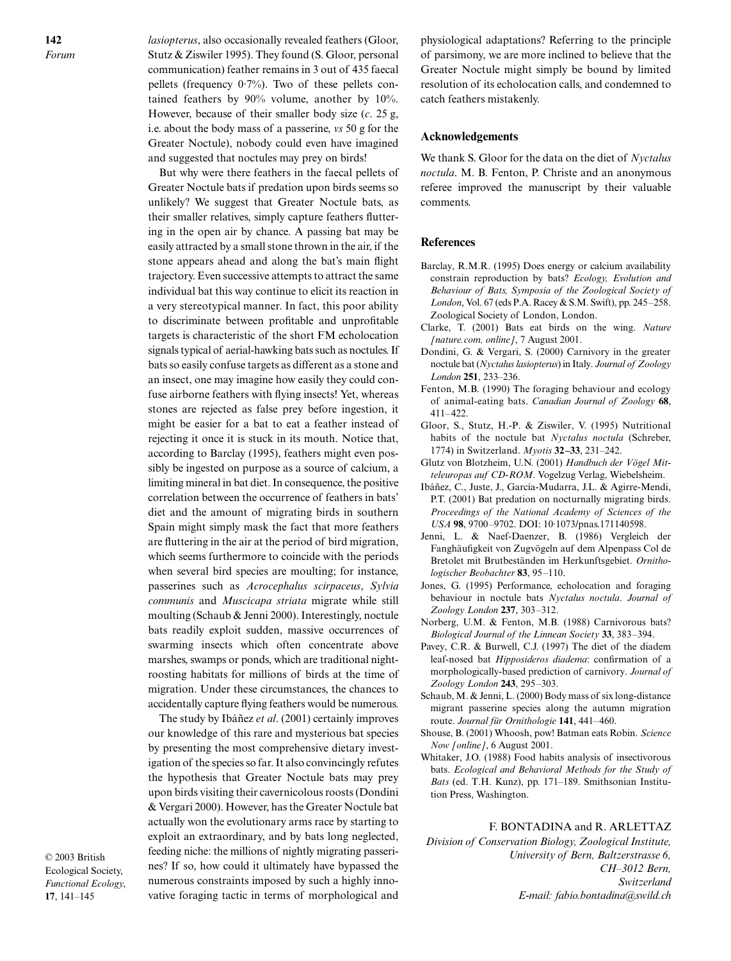*lasiopterus*, also occasionally revealed feathers (Gloor, Stutz & Ziswiler 1995). They found (S. Gloor, personal communication) feather remains in 3 out of 435 faecal pellets (frequency  $0.7\%$ ). Two of these pellets contained feathers by 90% volume, another by 10%. However, because of their smaller body size (*c*. 25 g, i.e. about the body mass of a passerine, *vs* 50 g for the Greater Noctule), nobody could even have imagined and suggested that noctules may prey on birds!

But why were there feathers in the faecal pellets of Greater Noctule bats if predation upon birds seems so unlikely? We suggest that Greater Noctule bats, as their smaller relatives, simply capture feathers fluttering in the open air by chance. A passing bat may be easily attracted by a small stone thrown in the air, if the stone appears ahead and along the bat's main flight trajectory. Even successive attempts to attract the same individual bat this way continue to elicit its reaction in a very stereotypical manner. In fact, this poor ability to discriminate between profitable and unprofitable targets is characteristic of the short FM echolocation signals typical of aerial-hawking bats such as noctules. If bats so easily confuse targets as different as a stone and an insect, one may imagine how easily they could confuse airborne feathers with flying insects! Yet, whereas stones are rejected as false prey before ingestion, it might be easier for a bat to eat a feather instead of rejecting it once it is stuck in its mouth. Notice that, according to Barclay (1995), feathers might even possibly be ingested on purpose as a source of calcium, a limiting mineral in bat diet. In consequence, the positive correlation between the occurrence of feathers in bats' diet and the amount of migrating birds in southern Spain might simply mask the fact that more feathers are fluttering in the air at the period of bird migration, which seems furthermore to coincide with the periods when several bird species are moulting; for instance, passerines such as *Acrocephalus scirpaceus*, *Sylvia communis* and *Muscicapa striata* migrate while still moulting (Schaub & Jenni 2000). Interestingly, noctule bats readily exploit sudden, massive occurrences of swarming insects which often concentrate above marshes, swamps or ponds, which are traditional nightroosting habitats for millions of birds at the time of migration. Under these circumstances, the chances to accidentally capture flying feathers would be numerous.

The study by Ibáñez *et al*. (2001) certainly improves our knowledge of this rare and mysterious bat species by presenting the most comprehensive dietary investigation of the species so far. It also convincingly refutes the hypothesis that Greater Noctule bats may prey upon birds visiting their cavernicolous roosts (Dondini & Vergari 2000). However, has the Greater Noctule bat actually won the evolutionary arms race by starting to exploit an extraordinary, and by bats long neglected, feeding niche: the millions of nightly migrating passerines? If so, how could it ultimately have bypassed the numerous constraints imposed by such a highly innovative foraging tactic in terms of morphological and

© 2003 British Ecological Society, *Functional Ecology*, **17**, 141–145

physiological adaptations? Referring to the principle of parsimony, we are more inclined to believe that the Greater Noctule might simply be bound by limited resolution of its echolocation calls, and condemned to catch feathers mistakenly.

### **Acknowledgements**

We thank S. Gloor for the data on the diet of *Nyctalus noctula*. M. B. Fenton, P. Christe and an anonymous referee improved the manuscript by their valuable comments.

#### **References**

- Barclay, R.M.R. (1995) Does energy or calcium availability constrain reproduction by bats? *Ecology, Evolution and Behaviour of Bats, Symposia of the Zoological Society of London*, Vol. 67 (eds P.A. Racey & S.M. Swift), pp. 245–258. Zoological Society of London, London.
- Clarke, T. (2001) Bats eat birds on the wing. *Nature [nature.com, online]*, 7 August 2001.
- Dondini, G. & Vergari, S. (2000) Carnivory in the greater noctule bat (*Nyctalus lasiopterus*) in Italy. *Journal of Zoology London* **251**, 233–236.
- Fenton, M.B. (1990) The foraging behaviour and ecology of animal-eating bats. *Canadian Journal of Zoology* **68**,  $411 - 422$
- Gloor, S., Stutz, H.-P. & Ziswiler, V. (1995) Nutritional habits of the noctule bat *Nyctalus noctula* (Schreber, 1774) in Switzerland. *Myotis* **32–33**, 231–242.
- Glutz von Blotzheim, U.N. (2001) *Handbuch der Vögel Mitteleuropas auf CD-ROM*. Vogelzug Verlag, Wiebelsheim.
- Ibáñez, C., Juste, J., García-Mudarra, J.L. & Agirre-Mendi, P.T. (2001) Bat predation on nocturnally migrating birds. *Proceedings of the National Academy of Sciences of the USA* **98**, 9700–9702. DOI: 10·1073/pnas.171140598.
- Jenni, L. & Naef-Daenzer, B. (1986) Vergleich der Fanghäufigkeit von Zugvögeln auf dem Alpenpass Col de Bretolet mit Brutbeständen im Herkunftsgebiet. *Ornithologischer Beobachter* **83**, 95–110.
- Jones, G. (1995) Performance, echolocation and foraging behaviour in noctule bats *Nyctalus noctula*. *Journal of Zoology London* **237**, 303–312.
- Norberg, U.M. & Fenton, M.B. (1988) Carnivorous bats? *Biological Journal of the Linnean Society* **33**, 383–394.
- Pavey, C.R. & Burwell, C.J. (1997) The diet of the diadem leaf-nosed bat *Hipposideros diadema*: confirmation of a morphologically-based prediction of carnivory. *Journal of Zoology London* **243**, 295–303.
- Schaub, M. & Jenni, L. (2000) Body mass of six long-distance migrant passerine species along the autumn migration route. *Journal für Ornithologie* **141**, 441–460.
- Shouse, B. (2001) Whoosh, pow! Batman eats Robin. *Science Now [online]*, 6 August 2001.
- Whitaker, J.O. (1988) Food habits analysis of insectivorous bats. *Ecological and Behavioral Methods for the Study of Bats* (ed. T.H. Kunz), pp. 171–189. Smithsonian Institution Press, Washington.

### F. BONTADINA and R. ARLETTAZ

*Division of Conservation Biology, Zoological Institute, University of Bern, Baltzerstrasse 6, CH–3012 Bern, Switzerland E-mail: fabio.bontadina@swild.ch*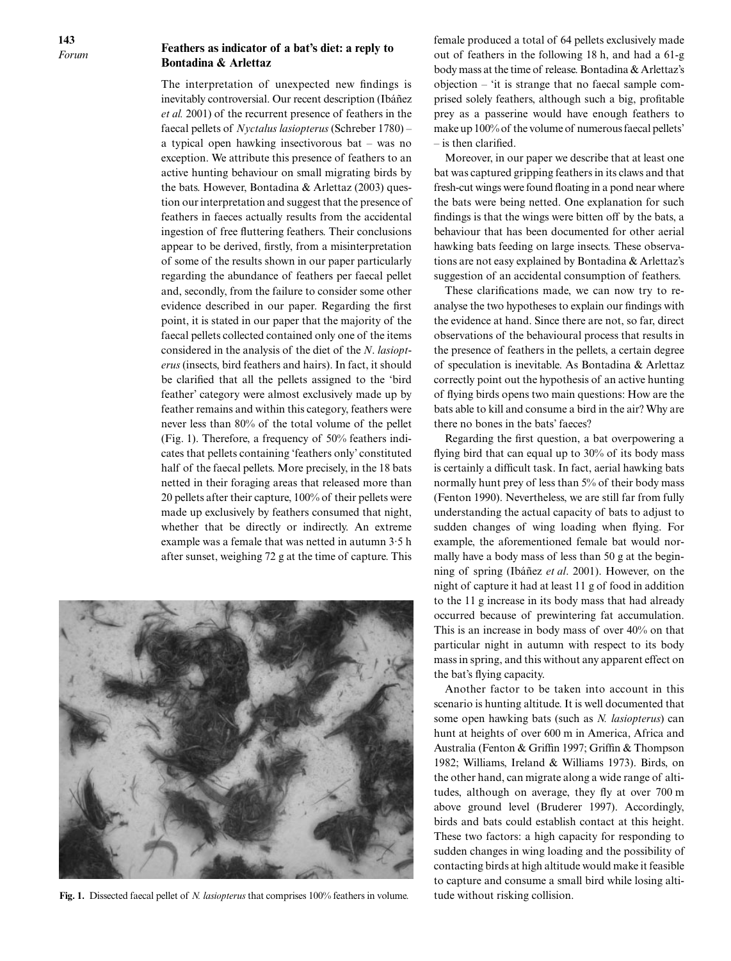# **Feathers as indicator of a bat's diet: a reply to Bontadina & Arlettaz**

The interpretation of unexpected new findings is inevitably controversial. Our recent description (Ibáñez *et al.* 2001) of the recurrent presence of feathers in the faecal pellets of *Nyctalus lasiopterus* (Schreber 1780) – a typical open hawking insectivorous bat – was no exception. We attribute this presence of feathers to an active hunting behaviour on small migrating birds by the bats. However, Bontadina & Arlettaz (2003) question our interpretation and suggest that the presence of feathers in faeces actually results from the accidental ingestion of free fluttering feathers. Their conclusions appear to be derived, firstly, from a misinterpretation of some of the results shown in our paper particularly regarding the abundance of feathers per faecal pellet and, secondly, from the failure to consider some other evidence described in our paper. Regarding the first point, it is stated in our paper that the majority of the faecal pellets collected contained only one of the items considered in the analysis of the diet of the *N*. *lasiopterus* (insects, bird feathers and hairs). In fact, it should be clarified that all the pellets assigned to the 'bird feather' category were almost exclusively made up by feather remains and within this category, feathers were never less than 80% of the total volume of the pellet (Fig. 1). Therefore, a frequency of 50% feathers indicates that pellets containing 'feathers only' constituted half of the faecal pellets. More precisely, in the 18 bats netted in their foraging areas that released more than 20 pellets after their capture, 100% of their pellets were made up exclusively by feathers consumed that night, whether that be directly or indirectly. An extreme example was a female that was netted in autumn 3·5 h after sunset, weighing 72 g at the time of capture. This



Fig. 1. Dissected faecal pellet of *N. lasiopterus* that comprises 100% feathers in volume. tude without risking collision.

female produced a total of 64 pellets exclusively made out of feathers in the following 18 h, and had a 61-g body mass at the time of release. Bontadina & Arlettaz's objection – 'it is strange that no faecal sample comprised solely feathers, although such a big, profitable prey as a passerine would have enough feathers to make up 100% of the volume of numerous faecal pellets' – is then clarified.

Moreover, in our paper we describe that at least one bat was captured gripping feathers in its claws and that fresh-cut wings were found floating in a pond near where the bats were being netted. One explanation for such findings is that the wings were bitten off by the bats, a behaviour that has been documented for other aerial hawking bats feeding on large insects. These observations are not easy explained by Bontadina & Arlettaz's suggestion of an accidental consumption of feathers.

These clarifications made, we can now try to reanalyse the two hypotheses to explain our findings with the evidence at hand. Since there are not, so far, direct observations of the behavioural process that results in the presence of feathers in the pellets, a certain degree of speculation is inevitable. As Bontadina & Arlettaz correctly point out the hypothesis of an active hunting of flying birds opens two main questions: How are the bats able to kill and consume a bird in the air? Why are there no bones in the bats' faeces?

Regarding the first question, a bat overpowering a flying bird that can equal up to 30% of its body mass is certainly a difficult task. In fact, aerial hawking bats normally hunt prey of less than 5% of their body mass (Fenton 1990). Nevertheless, we are still far from fully understanding the actual capacity of bats to adjust to sudden changes of wing loading when flying. For example, the aforementioned female bat would normally have a body mass of less than 50 g at the beginning of spring (Ibáñez *et al*. 2001). However, on the night of capture it had at least 11 g of food in addition to the 11 g increase in its body mass that had already occurred because of prewintering fat accumulation. This is an increase in body mass of over 40% on that particular night in autumn with respect to its body mass in spring, and this without any apparent effect on the bat's flying capacity.

Another factor to be taken into account in this scenario is hunting altitude. It is well documented that some open hawking bats (such as *N. lasiopterus*) can hunt at heights of over 600 m in America, Africa and Australia (Fenton & Griffin 1997; Griffin & Thompson 1982; Williams, Ireland & Williams 1973). Birds, on the other hand, can migrate along a wide range of altitudes, although on average, they fly at over 700 m above ground level (Bruderer 1997). Accordingly, birds and bats could establish contact at this height. These two factors: a high capacity for responding to sudden changes in wing loading and the possibility of contacting birds at high altitude would make it feasible to capture and consume a small bird while losing alti-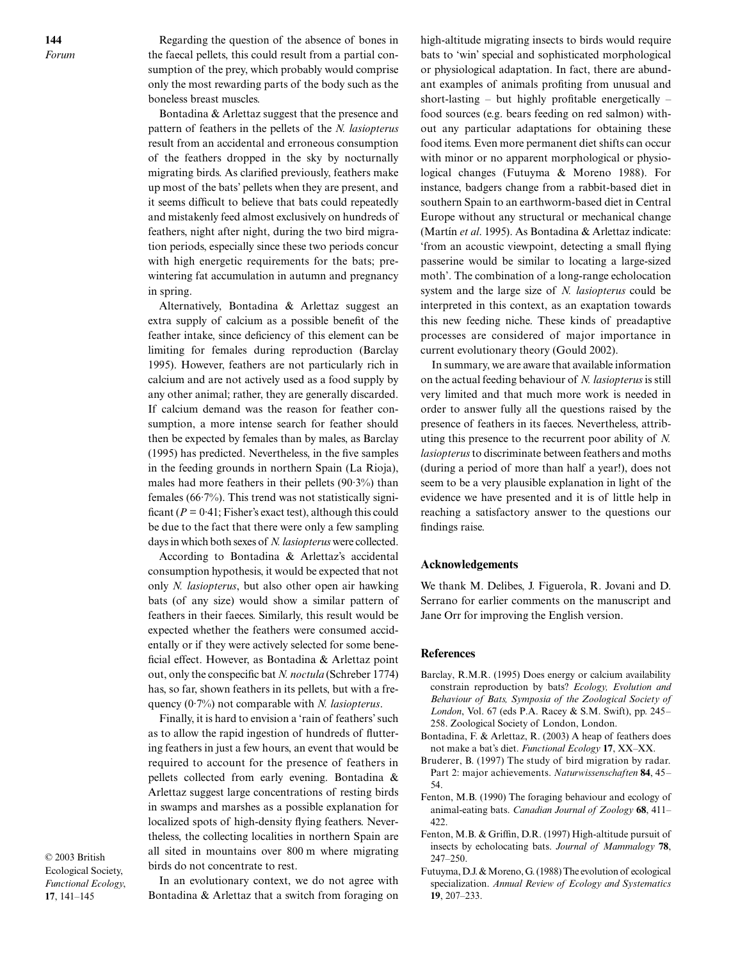Regarding the question of the absence of bones in the faecal pellets, this could result from a partial consumption of the prey, which probably would comprise only the most rewarding parts of the body such as the boneless breast muscles.

Bontadina & Arlettaz suggest that the presence and pattern of feathers in the pellets of the *N. lasiopterus* result from an accidental and erroneous consumption of the feathers dropped in the sky by nocturnally migrating birds. As clarified previously, feathers make up most of the bats' pellets when they are present, and it seems difficult to believe that bats could repeatedly and mistakenly feed almost exclusively on hundreds of feathers, night after night, during the two bird migration periods, especially since these two periods concur with high energetic requirements for the bats; prewintering fat accumulation in autumn and pregnancy in spring.

Alternatively, Bontadina & Arlettaz suggest an extra supply of calcium as a possible benefit of the feather intake, since deficiency of this element can be limiting for females during reproduction (Barclay 1995). However, feathers are not particularly rich in calcium and are not actively used as a food supply by any other animal; rather, they are generally discarded. If calcium demand was the reason for feather consumption, a more intense search for feather should then be expected by females than by males, as Barclay (1995) has predicted. Nevertheless, in the five samples in the feeding grounds in northern Spain (La Rioja), males had more feathers in their pellets (90·3%) than females (66·7%). This trend was not statistically significant ( $P = 0.41$ ; Fisher's exact test), although this could be due to the fact that there were only a few sampling days in which both sexes of *N. lasiopterus* were collected.

According to Bontadina & Arlettaz's accidental consumption hypothesis, it would be expected that not only *N. lasiopterus*, but also other open air hawking bats (of any size) would show a similar pattern of feathers in their faeces. Similarly, this result would be expected whether the feathers were consumed accidentally or if they were actively selected for some beneficial effect. However, as Bontadina & Arlettaz point out, only the conspecific bat *N. noctula* (Schreber 1774) has, so far, shown feathers in its pellets, but with a frequency (0·7%) not comparable with *N. lasiopterus*.

Finally, it is hard to envision a 'rain of feathers' such as to allow the rapid ingestion of hundreds of fluttering feathers in just a few hours, an event that would be required to account for the presence of feathers in pellets collected from early evening. Bontadina & Arlettaz suggest large concentrations of resting birds in swamps and marshes as a possible explanation for localized spots of high-density flying feathers. Nevertheless, the collecting localities in northern Spain are all sited in mountains over 800 m where migrating birds do not concentrate to rest.

© 2003 British Ecological Society, *Functional Ecology*, **17**, 141–145

In an evolutionary context, we do not agree with Bontadina & Arlettaz that a switch from foraging on high-altitude migrating insects to birds would require bats to 'win' special and sophisticated morphological or physiological adaptation. In fact, there are abundant examples of animals profiting from unusual and short-lasting – but highly profitable energetically – food sources (e.g. bears feeding on red salmon) without any particular adaptations for obtaining these food items. Even more permanent diet shifts can occur with minor or no apparent morphological or physiological changes (Futuyma & Moreno 1988). For instance, badgers change from a rabbit-based diet in southern Spain to an earthworm-based diet in Central Europe without any structural or mechanical change (Martín *et al*. 1995). As Bontadina & Arlettaz indicate: 'from an acoustic viewpoint, detecting a small flying passerine would be similar to locating a large-sized moth'. The combination of a long-range echolocation system and the large size of *N. lasiopterus* could be interpreted in this context, as an exaptation towards this new feeding niche. These kinds of preadaptive processes are considered of major importance in current evolutionary theory (Gould 2002).

In summary, we are aware that available information on the actual feeding behaviour of *N. lasiopterus* is still very limited and that much more work is needed in order to answer fully all the questions raised by the presence of feathers in its faeces. Nevertheless, attributing this presence to the recurrent poor ability of *N. lasiopterus* to discriminate between feathers and moths (during a period of more than half a year!), does not seem to be a very plausible explanation in light of the evidence we have presented and it is of little help in reaching a satisfactory answer to the questions our findings raise.

### **Acknowledgements**

We thank M. Delibes, J. Figuerola, R. Jovani and D. Serrano for earlier comments on the manuscript and Jane Orr for improving the English version.

### **References**

- Barclay, R.M.R. (1995) Does energy or calcium availability constrain reproduction by bats? *Ecology, Evolution and Behaviour of Bats, Symposia of the Zoological Society of London*, Vol. 67 (eds P.A. Racey & S.M. Swift), pp. 245– 258. Zoological Society of London, London.
- Bontadina, F. & Arlettaz, R. (2003) A heap of feathers does not make a bat's diet. *Functional Ecology* **17**, XX–XX.
- Bruderer, B. (1997) The study of bird migration by radar. Part 2: major achievements. *Naturwissenschaften* **84**, 45– 54.
- Fenton, M.B. (1990) The foraging behaviour and ecology of animal-eating bats. *Canadian Journal of Zoology* **68**, 411– 422.
- Fenton, M.B. & Griffin, D.R. (1997) High-altitude pursuit of insects by echolocating bats. *Journal of Mammalogy* **78**, 247–250.
- Futuyma, D.J. & Moreno, G. (1988) The evolution of ecological specialization. *Annual Review of Ecology and Systematics* **19**, 207–233.